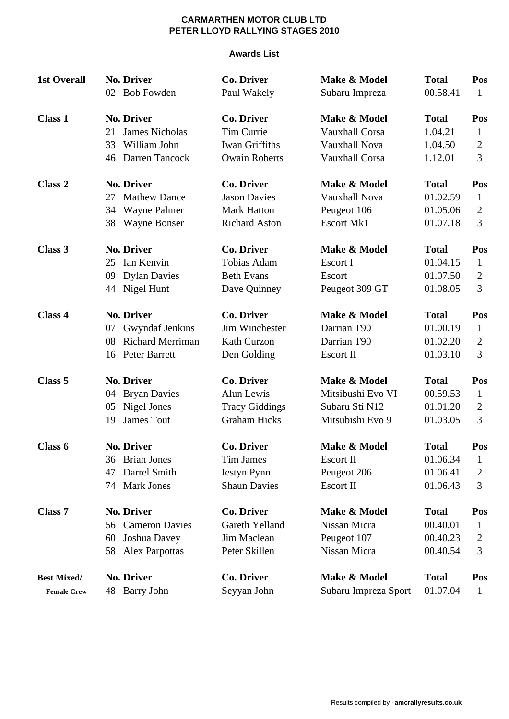#### **Awards List**

| <b>1st Overall</b> |    | <b>No. Driver</b>       | <b>Co. Driver</b>     | Make & Model          | <b>Total</b> | Pos            |
|--------------------|----|-------------------------|-----------------------|-----------------------|--------------|----------------|
|                    |    | 02 Bob Fowden           | Paul Wakely           | Subaru Impreza        | 00.58.41     | 1              |
| <b>Class 1</b>     |    | <b>No. Driver</b>       | <b>Co. Driver</b>     | Make & Model          | <b>Total</b> | Pos            |
|                    | 21 | James Nicholas          | <b>Tim Currie</b>     | Vauxhall Corsa        | 1.04.21      | $\mathbf 1$    |
|                    | 33 | William John            | <b>Iwan Griffiths</b> | Vauxhall Nova         | 1.04.50      | $\overline{c}$ |
|                    | 46 | Darren Tancock          | <b>Owain Roberts</b>  | <b>Vauxhall Corsa</b> | 1.12.01      | 3              |
| Class 2            |    | <b>No. Driver</b>       | <b>Co. Driver</b>     | Make & Model          | <b>Total</b> | Pos            |
|                    | 27 | <b>Mathew Dance</b>     | <b>Jason Davies</b>   | Vauxhall Nova         | 01.02.59     | $\mathbf{1}$   |
|                    | 34 | <b>Wayne Palmer</b>     | <b>Mark Hatton</b>    | Peugeot 106           | 01.05.06     | $\overline{2}$ |
|                    | 38 | Wayne Bonser            | <b>Richard Aston</b>  | <b>Escort Mk1</b>     | 01.07.18     | 3              |
| Class 3            |    | <b>No. Driver</b>       | <b>Co. Driver</b>     | Make & Model          | <b>Total</b> | Pos            |
|                    | 25 | Ian Kenvin              | Tobias Adam           | Escort I              | 01.04.15     | $\mathbf{1}$   |
|                    | 09 | <b>Dylan Davies</b>     | <b>Beth Evans</b>     | Escort                | 01.07.50     | $\overline{2}$ |
|                    | 44 | Nigel Hunt              | Dave Quinney          | Peugeot 309 GT        | 01.08.05     | 3              |
| Class 4            |    | <b>No. Driver</b>       | <b>Co. Driver</b>     | Make & Model          | <b>Total</b> | Pos            |
|                    | 07 | Gwyndaf Jenkins         | Jim Winchester        | Darrian T90           | 01.00.19     | $\mathbf{1}$   |
|                    | 08 | <b>Richard Merriman</b> | Kath Curzon           | Darrian T90           | 01.02.20     | $\overline{2}$ |
|                    | 16 | Peter Barrett           | Den Golding           | Escort II             | 01.03.10     | 3              |
| Class 5            |    | <b>No. Driver</b>       | <b>Co. Driver</b>     | Make & Model          | <b>Total</b> | Pos            |
|                    | 04 | <b>Bryan Davies</b>     | <b>Alun Lewis</b>     | Mitsibushi Evo VI     | 00.59.53     | 1              |
|                    | 05 | Nigel Jones             | <b>Tracy Giddings</b> | Subaru Sti N12        | 01.01.20     | $\mathbf{2}$   |
|                    | 19 | <b>James Tout</b>       | <b>Graham Hicks</b>   | Mitsubishi Evo 9      | 01.03.05     | 3              |
| Class 6            |    | <b>No. Driver</b>       | <b>Co. Driver</b>     | Make & Model          | <b>Total</b> | Pos            |
|                    | 36 | <b>Brian Jones</b>      | <b>Tim James</b>      | <b>Escort II</b>      | 01.06.34     | 1              |
|                    | 47 | Darrel Smith            | <b>Iestyn Pynn</b>    | Peugeot 206           | 01.06.41     | 2              |
|                    | 74 | <b>Mark Jones</b>       | <b>Shaun Davies</b>   | <b>Escort II</b>      | 01.06.43     | 3              |
| Class 7            |    | <b>No. Driver</b>       | <b>Co. Driver</b>     | Make & Model          | <b>Total</b> | Pos            |
|                    |    | 56 Cameron Davies       | Gareth Yelland        | Nissan Micra          | 00.40.01     | $\mathbf 1$    |
|                    | 60 | Joshua Davey            | Jim Maclean           | Peugeot 107           | 00.40.23     | 2              |
|                    |    | 58 Alex Parpottas       | Peter Skillen         | Nissan Micra          | 00.40.54     | 3              |
| <b>Best Mixed/</b> |    | <b>No. Driver</b>       | Co. Driver            | Make & Model          | <b>Total</b> | Pos            |
| <b>Female Crew</b> |    | 48 Barry John           | Seyyan John           | Subaru Impreza Sport  | 01.07.04     | 1              |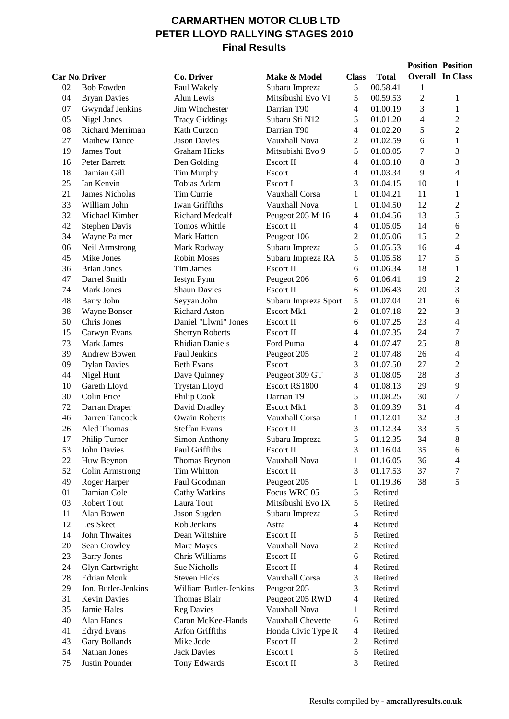## **CARMARTHEN MOTOR CLUB LTD PETER LLOYD RALLYING STAGES 2010 Final Results**

|                      |                      |                        |                      |                          |              |                | <b>Position Position</b> |
|----------------------|----------------------|------------------------|----------------------|--------------------------|--------------|----------------|--------------------------|
| <b>Car No Driver</b> |                      | Co. Driver             | Make & Model         | <b>Class</b>             | <b>Total</b> |                | <b>Overall In Class</b>  |
| 02                   | <b>Bob Fowden</b>    | Paul Wakely            | Subaru Impreza       | 5                        | 00.58.41     | 1              |                          |
| 04                   | <b>Bryan Davies</b>  | Alun Lewis             | Mitsibushi Evo VI    | 5                        | 00.59.53     | $\overline{c}$ | 1                        |
| 07                   | Gwyndaf Jenkins      | Jim Winchester         | Darrian T90          | 4                        | 01.00.19     | 3              | 1                        |
| 05                   | Nigel Jones          | <b>Tracy Giddings</b>  | Subaru Sti N12       | 5                        | 01.01.20     | 4              | $\overline{2}$           |
| 08                   | Richard Merriman     | Kath Curzon            | Darrian T90          | 4                        | 01.02.20     | 5              | $\overline{2}$           |
| 27                   | <b>Mathew Dance</b>  | <b>Jason Davies</b>    | Vauxhall Nova        | 2                        | 01.02.59     | 6              | $\mathbf{1}$             |
| 19                   | James Tout           | <b>Graham Hicks</b>    | Mitsubishi Evo 9     | 5                        | 01.03.05     | 7              | 3                        |
| 16                   | Peter Barrett        | Den Golding            | Escort II            | 4                        | 01.03.10     | 8              | 3                        |
| 18                   | Damian Gill          | Tim Murphy             | Escort               | 4                        | 01.03.34     | 9              | $\overline{\mathcal{L}}$ |
| 25                   | Ian Kenvin           | Tobias Adam            | Escort I             | 3                        | 01.04.15     | 10             | $\mathbf{1}$             |
| 21                   | James Nicholas       | Tim Currie             | Vauxhall Corsa       | $\mathbf{1}$             | 01.04.21     | 11             | $\mathbf{1}$             |
| 33                   | William John         | Iwan Griffiths         | Vauxhall Nova        | $\mathbf{1}$             | 01.04.50     | 12             | $\overline{c}$           |
| 32                   | Michael Kimber       | Richard Medcalf        | Peugeot 205 Mi16     | 4                        | 01.04.56     | 13             | 5                        |
| 42                   | <b>Stephen Davis</b> | Tomos Whittle          | Escort II            | 4                        | 01.05.05     | 14             | 6                        |
| 34                   | Wayne Palmer         | Mark Hatton            | Peugeot 106          | $\overline{c}$           | 01.05.06     | 15             | $\overline{c}$           |
| 06                   | Neil Armstrong       | Mark Rodway            | Subaru Impreza       | 5                        | 01.05.53     | 16             | $\overline{\mathbf{4}}$  |
| 45                   | Mike Jones           | <b>Robin Moses</b>     | Subaru Impreza RA    | 5                        | 01.05.58     | 17             | 5                        |
| 36                   | <b>Brian Jones</b>   | Tim James              | Escort II            | 6                        | 01.06.34     | 18             | $\mathbf{1}$             |
| 47                   | Darrel Smith         | <b>Iestyn Pynn</b>     | Peugeot 206          | 6                        | 01.06.41     | 19             | $\overline{c}$           |
| 74                   | Mark Jones           | <b>Shaun Davies</b>    | Escort II            | 6                        | 01.06.43     | 20             | 3                        |
| 48                   | <b>Barry John</b>    | Seyyan John            | Subaru Impreza Sport | 5                        | 01.07.04     | 21             | 6                        |
| 38                   | Wayne Bonser         | <b>Richard Aston</b>   | <b>Escort Mk1</b>    | $\overline{2}$           | 01.07.18     | 22             | 3                        |
| 50                   | Chris Jones          | Daniel "Llwni" Jones   | Escort II            | 6                        | 01.07.25     | 23             | $\overline{\mathcal{L}}$ |
| 15                   | Carwyn Evans         | <b>Sherryn Roberts</b> | Escort II            | 4                        | 01.07.35     | 24             | 7                        |
| 73                   | Mark James           | <b>Rhidian Daniels</b> | Ford Puma            | 4                        | 01.07.47     | 25             | 8                        |
| 39                   | Andrew Bowen         | Paul Jenkins           | Peugeot 205          | $\mathbf{2}$             | 01.07.48     | 26             | $\overline{\mathcal{L}}$ |
| 09                   | <b>Dylan Davies</b>  | <b>Beth Evans</b>      | Escort               | 3                        | 01.07.50     | 27             | $\overline{c}$           |
| 44                   | Nigel Hunt           | Dave Quinney           | Peugeot 309 GT       | 3                        | 01.08.05     | 28             | 3                        |
| 10                   | Gareth Lloyd         | <b>Trystan Lloyd</b>   | Escort RS1800        | 4                        | 01.08.13     | 29             | 9                        |
| 30                   | Colin Price          | Philip Cook            | Darrian T9           | 5                        | 01.08.25     | 30             | $\overline{7}$           |
| 72                   | Darran Draper        | David Dradley          | <b>Escort Mk1</b>    | 3                        | 01.09.39     | 31             | $\overline{\mathcal{L}}$ |
| 46                   | Darren Tancock       | <b>Owain Roberts</b>   | Vauxhall Corsa       | $\mathbf{1}$             | 01.12.01     | 32             | 3                        |
| 26                   | <b>Aled Thomas</b>   | <b>Steffan Evans</b>   | Escort II            | 3                        | 01.12.34     | 33             | 5                        |
| 17                   | Philip Turner        | <b>Simon Anthony</b>   | Subaru Impreza       | 5                        | 01.12.35     | 34             | 8                        |
| 53                   | <b>John Davies</b>   | Paul Griffiths         | Escort II            | 3                        | 01.16.04     | 35             | 6                        |
| 22                   | Huw Beynon           | Thomas Beynon          | Vauxhall Nova        | $\mathbf{1}$             | 01.16.05     | 36             | 4                        |
| 52                   | Colin Armstrong      | <b>Tim Whitton</b>     | Escort II            | 3                        | 01.17.53     | 37             | 7                        |
| 49                   | Roger Harper         | Paul Goodman           | Peugeot 205          | 1                        | 01.19.36     | 38             | 5                        |
| 01                   | Damian Cole          | Cathy Watkins          | Focus WRC 05         | 5                        | Retired      |                |                          |
| 03                   | Robert Tout          | Laura Tout             | Mitsibushi Evo IX    | 5                        | Retired      |                |                          |
| 11                   | Alan Bowen           | Jason Sugden           | Subaru Impreza       | 5                        | Retired      |                |                          |
| 12                   | Les Skeet            | Rob Jenkins            | Astra                | 4                        | Retired      |                |                          |
| 14                   | John Thwaites        | Dean Wiltshire         | Escort II            | 5                        | Retired      |                |                          |
| 20                   | Sean Crowley         | Marc Mayes             | Vauxhall Nova        | $\overline{2}$           | Retired      |                |                          |
| 23                   | <b>Barry Jones</b>   | Chris Williams         | Escort II            | 6                        | Retired      |                |                          |
| 24                   | Glyn Cartwright      | Sue Nicholls           | Escort II            | 4                        | Retired      |                |                          |
| 28                   | <b>Edrian Monk</b>   | <b>Steven Hicks</b>    | Vauxhall Corsa       | 3                        | Retired      |                |                          |
| 29                   | Jon. Butler-Jenkins  | William Butler-Jenkins | Peugeot 205          | 3                        | Retired      |                |                          |
| 31                   | Kevin Davies         | Thomas Blair           | Peugeot 205 RWD      | $\overline{\mathcal{A}}$ | Retired      |                |                          |
| 35                   | Jamie Hales          | <b>Reg Davies</b>      | Vauxhall Nova        | 1                        | Retired      |                |                          |
| 40                   | Alan Hands           | Caron McKee-Hands      | Vauxhall Chevette    | 6                        | Retired      |                |                          |
| 41                   | <b>Edryd Evans</b>   | Arfon Griffiths        | Honda Civic Type R   | 4                        | Retired      |                |                          |
| 43                   | Gary Bollands        | Mike Jode              | Escort II            | $\boldsymbol{2}$         | Retired      |                |                          |
| 54                   | Nathan Jones         | <b>Jack Davies</b>     | Escort I             | 5                        | Retired      |                |                          |
| 75                   | Justin Pounder       | Tony Edwards           | Escort II            | 3                        | Retired      |                |                          |
|                      |                      |                        |                      |                          |              |                |                          |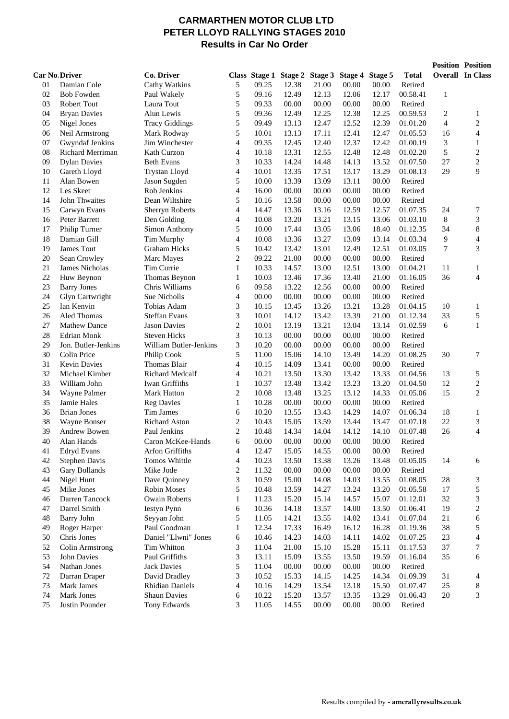#### **CARMARTHEN MOTOR CLUB LTD PETER LLOYD RALLYING STAGES 2010 Results in Car No Order**

|          |                                     |                                  |                              |                |                               |                |                |                |                     |         | <b>Position Position</b> |
|----------|-------------------------------------|----------------------------------|------------------------------|----------------|-------------------------------|----------------|----------------|----------------|---------------------|---------|--------------------------|
|          | <b>Car No Driver</b>                | Co. Driver                       |                              |                | Class Stage 1 Stage 2 Stage 3 |                | Stage 4        | Stage 5        | <b>Total</b>        |         | <b>Overall</b> In Class  |
| 01       | Damian Cole                         | Cathy Watkins                    | 5                            | 09.25          | 12.38                         | 21.00          | 00.00          | 00.00          | Retired             |         |                          |
| 02       | <b>Bob Fowden</b>                   | Paul Wakely                      | 5                            | 09.16          | 12.49                         | 12.13          | 12.06          | 12.17          | 00.58.41            | 1       |                          |
| 03       | Robert Tout                         | Laura Tout                       | 5                            | 09.33          | 00.00                         | 00.00          | 00.00          | 00.00          | Retired             |         |                          |
| 04       | <b>Bryan Davies</b>                 | Alun Lewis                       | 5                            | 09.36          | 12.49                         | 12.25          | 12.38          | 12.25          | 00.59.53            | 2       | 1                        |
| 05       | Nigel Jones                         | <b>Tracy Giddings</b>            | 5                            | 09.49          | 13.13                         | 12.47          | 12.52          | 12.39          | 01.01.20            | 4       | $\overline{c}$           |
| 06       | Neil Armstrong                      | Mark Rodway                      | 5                            | 10.01          | 13.13                         | 17.11          | 12.41          | 12.47          | 01.05.53            | 16      | 4                        |
| 07       | Gwyndaf Jenkins                     | Jim Winchester                   | $\overline{\mathcal{L}}$     | 09.35          | 12.45                         | 12.40          | 12.37          | 12.42          | 01.00.19            | 3       | $\mathbf{1}$             |
| 08       | <b>Richard Merriman</b>             | Kath Curzon                      | 4                            | 10.18          | 13.31                         | 12.55          | 12.48          | 12.48          | 01.02.20            | 5       | $\sqrt{2}$               |
| 09       | <b>Dylan Davies</b>                 | <b>Beth Evans</b>                | 3                            | 10.33          | 14.24                         | 14.48          | 14.13          | 13.52          | 01.07.50            | 27      | $\sqrt{2}$               |
| 10       | Gareth Lloyd                        | <b>Trystan Lloyd</b>             | $\overline{\mathcal{L}}$     | 10.01          | 13.35                         | 17.51          | 13.17          | 13.29          | 01.08.13            | 29      | 9                        |
| 11       | Alan Bowen                          | Jason Sugden                     | 5                            | 10.00          | 13.39                         | 13.09          | 13.11          | 00.00          | Retired             |         |                          |
| 12       | Les Skeet                           | Rob Jenkins                      | $\overline{4}$               | 16.00          | 00.00                         | 00.00          | 00.00          | 00.00          | Retired             |         |                          |
| 14       | John Thwaites                       | Dean Wiltshire                   | 5                            | 10.16          | 13.58                         | 00.00          | 00.00          | 00.00          | Retired             |         |                          |
| 15       | Carwyn Evans                        | Sherryn Roberts                  | $\overline{\mathcal{L}}$     | 14.47          | 13.36                         | 13.16          | 12.59          | 12.57          | 01.07.35            | 24      | 7                        |
| 16       | Peter Barrett                       | Den Golding                      | 4                            | 10.08          | 13.20                         | 13.21          | 13.15          | 13.06          | 01.03.10            | $\,8\,$ | $\mathfrak{Z}$           |
| 17       | Philip Turner                       | Simon Anthony                    | 5                            | 10.00          | 17.44                         | 13.05          | 13.06          | 18.40          | 01.12.35            | 34      | $\,$ 8 $\,$              |
| 18       | Damian Gill                         | Tim Murphy                       | 4                            | 10.08          | 13.36                         | 13.27          | 13.09          | 13.14          | 01.03.34            | 9       | $\overline{\mathcal{A}}$ |
| 19       | James Tout                          | <b>Graham Hicks</b>              | 5                            | 10.42          | 13.42                         | 13.01          | 12.49          | 12.51          | 01.03.05            | 7       | 3                        |
| 20       | Sean Crowley                        | Marc Mayes                       | $\overline{c}$               | 09.22          | 21.00                         | 00.00          | 00.00          | 00.00          | Retired             |         |                          |
| 21       | James Nicholas                      | Tim Currie                       | $\mathbf{1}$                 | 10.33          | 14.57                         | 13.00          | 12.51          | 13.00          | 01.04.21            | 11      | $\mathbf{1}$             |
| 22       | Huw Beynon                          | Thomas Beynon                    | $\mathbf{1}$                 | 10.03          | 13.46                         | 17.36          | 13.40          | 21.00          | 01.16.05            | 36      | 4                        |
| 23       | <b>Barry Jones</b>                  | Chris Williams                   | 6                            | 09.58          | 13.22                         | 12.56          | 00.00          | 00.00          | Retired             |         |                          |
| 24       | Glyn Cartwright                     | Sue Nicholls                     | 4                            | 00.00          | 00.00                         | 00.00          | 00.00          | 00.00          | Retired             |         |                          |
| 25       | Ian Kenvin                          | Tobias Adam                      | 3                            | 10.15          | 13.45                         | 13.26          | 13.21          | 13.28          | 01.04.15            | 10      | $\mathbf{1}$             |
| 26       | Aled Thomas                         | <b>Steffan Evans</b>             | 3                            | 10.01          | 14.12                         | 13.42          | 13.39          | 21.00          | 01.12.34            | 33      | 5                        |
| 27       | <b>Mathew Dance</b>                 | <b>Jason Davies</b>              | $\overline{c}$               | 10.01          | 13.19                         | 13.21          | 13.04          | 13.14          | 01.02.59            | 6       | $\mathbf{1}$             |
| 28       | <b>Edrian Monk</b>                  | <b>Steven Hicks</b>              | 3                            | 10.13          | 00.00                         | 00.00          | 00.00          | 00.00          | Retired             |         |                          |
| 29       | Jon. Butler-Jenkins                 | William Butler-Jenkins           | 3                            | 10.20          | 00.00                         | 00.00          | 00.00          | 00.00          | Retired             |         |                          |
| 30       | Colin Price                         | Philip Cook                      | 5                            | 11.00          | 15.06                         | 14.10          | 13.49          | 14.20          | 01.08.25            | 30      | 7                        |
| 31       | <b>Kevin Davies</b>                 | Thomas Blair                     | $\overline{4}$               | 10.15          | 14.09                         | 13.41          | 00.00          | 00.00          | Retired             |         |                          |
| 32       | Michael Kimber                      | Richard Medcalf                  | $\overline{4}$               | 10.21          | 13.50                         | 13.30          | 13.42          | 13.33          | 01.04.56            | 13      | 5                        |
| 33       | William John                        | Iwan Griffiths                   | $\mathbf{1}$                 | 10.37          | 13.48                         | 13.42          | 13.23          | 13.20          | 01.04.50            | 12      | $\sqrt{2}$               |
| 34       | Wayne Palmer                        | Mark Hatton                      | 2                            | 10.08          | 13.48                         | 13.25          | 13.12          | 14.33          | 01.05.06            | 15      | $\mathfrak{2}$           |
| 35       | Jamie Hales                         | <b>Reg Davies</b>                | $\mathbf{1}$                 | 10.28          | 00.00                         | 00.00          | 00.00          | 00.00          | Retired             |         |                          |
| 36       | <b>Brian Jones</b>                  | Tim James                        | 6                            | 10.20          | 13.55                         | 13.43          | 14.29          | 14.07          | 01.06.34            | 18      | 1                        |
| 38       | Wayne Bonser                        | <b>Richard Aston</b>             | 2                            | 10.43          | 15.05                         | 13.59          | 13.44          | 13.47          | 01.07.18            | 22      | 3                        |
| 39<br>40 | <b>Andrew Bowen</b>                 | Paul Jenkins                     | $\mathbf{2}$                 | 10.48          | 14.34                         | 14.04          | 14.12          | 14.10          | 01.07.48            | 26      | 4                        |
|          | Alan Hands                          | Caron McKee-Hands                | 6                            | 00.00          | 00.00                         | 00.00          | 00.00          | 00.00          | Retired             |         |                          |
| 41<br>42 | <b>Edryd Evans</b><br>Stephen Davis | Arfon Griffiths<br>Tomos Whittle | 4                            | 12.47<br>10.23 | 15.05                         | 14.55          | 00.00<br>13.26 | 00.00          | Retired<br>01.05.05 |         |                          |
| 43       | Gary Bollands                       | Mike Jode                        | 4<br>$\overline{\mathbf{c}}$ | 11.32          | 13.50<br>00.00                | 13.38<br>00.00 | 00.00          | 13.48<br>00.00 | Retired             | 14      | 6                        |
| 44       | Nigel Hunt                          | Dave Quinney                     | 3                            | 10.59          | 15.00                         | 14.08          | 14.03          | 13.55          | 01.08.05            | $28\,$  | 3                        |
| 45       | Mike Jones                          | Robin Moses                      | 5                            | 10.48          | 13.59                         | 14.27          | 13.24          | 13.20          | 01.05.58            | 17      | 5                        |
| 46       | Darren Tancock                      | <b>Owain Roberts</b>             | $\mathbf{1}$                 | 11.23          | 15.20                         | 15.14          | 14.57          | 15.07          | 01.12.01            | 32      | 3                        |
| 47       | Darrel Smith                        | <b>Iestyn Pynn</b>               | 6                            | 10.36          | 14.18                         | 13.57          | 14.00          | 13.50          | 01.06.41            | 19      | $\sqrt{2}$               |
| 48       | <b>Barry John</b>                   | Seyyan John                      | 5                            | 11.05          | 14.21                         | 13.55          | 14.02          | 13.41          | 01.07.04            | 21      | 6                        |
| 49       | Roger Harper                        | Paul Goodman                     | $\mathbf{1}$                 | 12.34          | 17.33                         | 16.49          | 16.12          | 16.28          | 01.19.36            | 38      | 5                        |
| 50       | Chris Jones                         | Daniel "Llwni" Jones             | 6                            | 10.46          | 14.23                         | 14.03          | 14.11          | 14.02          | 01.07.25            | $23\,$  | $\overline{\mathbf{4}}$  |
| 52       | <b>Colin Armstrong</b>              | Tim Whitton                      | 3                            | 11.04          | 21.00                         | 15.10          | 15.28          | 15.11          | 01.17.53            | 37      | $\boldsymbol{7}$         |
| 53       | John Davies                         | Paul Griffiths                   | 3                            | 13.11          | 15.09                         | 13.55          | 13.50          | 19.59          | 01.16.04            | 35      | 6                        |
| 54       | Nathan Jones                        | <b>Jack Davies</b>               | 5                            | 11.04          | 00.00                         | 00.00          | 00.00          | 00.00          | Retired             |         |                          |
| 72       | Darran Draper                       | David Dradley                    | 3                            | 10.52          | 15.33                         | 14.15          | 14.25          | 14.34          | 01.09.39            | 31      | 4                        |
| 73       | Mark James                          | <b>Rhidian Daniels</b>           | $\overline{\mathcal{L}}$     | 10.16          | 14.29                         | 13.54          | 13.18          | 15.50          | 01.07.47            | 25      | $\,8\,$                  |
| 74       | Mark Jones                          | <b>Shaun Davies</b>              | 6                            | 10.22          | 15.20                         | 13.57          | 13.35          | 13.29          | 01.06.43            | $20\,$  | $\mathfrak{Z}$           |
| 75       | Justin Pounder                      | Tony Edwards                     | 3                            | 11.05          | 14.55                         | 00.00          | 00.00          | 00.00          | Retired             |         |                          |
|          |                                     |                                  |                              |                |                               |                |                |                |                     |         |                          |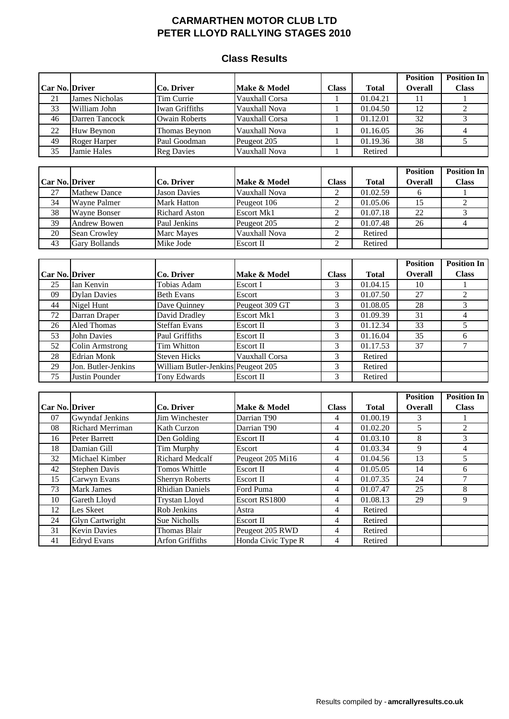#### **Class Results**

|                 |                        |                        |                    |                |                       | <b>Position</b> | <b>Position In</b>       |
|-----------------|------------------------|------------------------|--------------------|----------------|-----------------------|-----------------|--------------------------|
| Car No. Driver  |                        | Co. Driver             | Make & Model       | <b>Class</b>   | <b>Total</b>          | <b>Overall</b>  | <b>Class</b>             |
| 21              | <b>James Nicholas</b>  | Tim Currie             | Vauxhall Corsa     | 1              | $\overline{01.04.21}$ | 11              |                          |
| 33              | William John           | Iwan Griffiths         | Vauxhall Nova      | $\mathbf{1}$   | 01.04.50              | 12              | $\overline{2}$           |
| 46              | Darren Tancock         | <b>Owain Roberts</b>   | Vauxhall Corsa     | $\mathbf{1}$   | 01.12.01              | 32              | 3                        |
| 22              | Huw Beynon             | Thomas Beynon          | Vauxhall Nova      | $\mathbf{1}$   | 01.16.05              | 36              | $\overline{\mathbf{4}}$  |
| 49              | <b>Roger Harper</b>    | Paul Goodman           | Peugeot 205        | $\mathbf{1}$   | 01.19.36              | $\overline{38}$ | 5                        |
| $\overline{35}$ | Jamie Hales            | <b>Reg Davies</b>      | Vauxhall Nova      | $\mathbf{1}$   | Retired               |                 |                          |
|                 |                        |                        |                    |                |                       |                 |                          |
|                 |                        |                        |                    |                |                       | <b>Position</b> | <b>Position In</b>       |
| Car No. Driver  |                        | Co. Driver             | Make & Model       | <b>Class</b>   | <b>Total</b>          | <b>Overall</b>  | <b>Class</b>             |
| 27              | <b>Mathew Dance</b>    | <b>Jason Davies</b>    | Vauxhall Nova      | $\overline{c}$ | 01.02.59              | 6               | $\mathbf{1}$             |
| $\overline{34}$ | Wayne Palmer           | <b>Mark Hatton</b>     | Peugeot 106        | 2              | 01.05.06              | $\overline{15}$ | $\overline{c}$           |
| $\overline{38}$ | Wayne Bonser           | <b>Richard Aston</b>   | <b>Escort Mk1</b>  | 2              | 01.07.18              | $\overline{22}$ | 3                        |
| 39              | <b>Andrew Bowen</b>    | Paul Jenkins           | Peugeot 205        | 2              | 01.07.48              | $\overline{26}$ | $\overline{4}$           |
| 20              | Sean Crowley           | Marc Mayes             | Vauxhall Nova      | 2              | Retired               |                 |                          |
| 43              | <b>Gary Bollands</b>   | Mike Jode              | Escort II          | $\overline{c}$ | Retired               |                 |                          |
|                 |                        |                        |                    |                |                       |                 |                          |
|                 |                        |                        |                    |                |                       | <b>Position</b> | <b>Position In</b>       |
| Car No. Driver  |                        | Co. Driver             | Make & Model       | <b>Class</b>   | <b>Total</b>          | <b>Overall</b>  | <b>Class</b>             |
| 25              | Ian Kenvin             | Tobias Adam            | Escort I           | 3              | 01.04.15              | 10              | 1                        |
| 09              | <b>Dylan Davies</b>    | <b>Beth Evans</b>      | Escort             | 3              | 01.07.50              | 27              | $\overline{c}$           |
| 44              | Nigel Hunt             | Dave Quinney           | Peugeot 309 GT     | 3              | 01.08.05              | 28              | 3                        |
| 72              | Darran Draper          | David Dradley          | <b>Escort Mk1</b>  | 3              | 01.09.39              | 31              | $\overline{\mathcal{A}}$ |
| 26              | Aled Thomas            | <b>Steffan Evans</b>   | Escort II          | 3              | 01.12.34              | 33              | 5                        |
| 53              | <b>John Davies</b>     | Paul Griffiths         | Escort II          | 3              | 01.16.04              | 35              | 6                        |
| 52              | <b>Colin Armstrong</b> | Tim Whitton            | Escort II          | 3              | 01.17.53              | 37              | 7                        |
| 28              | <b>Edrian Monk</b>     | <b>Steven Hicks</b>    | Vauxhall Corsa     | 3              | Retired               |                 |                          |
| 29              | Jon. Butler-Jenkins    | William Butler-Jenkins | Peugeot 205        | 3              | Retired               |                 |                          |
| 75              | Justin Pounder         | <b>Tony Edwards</b>    | Escort II          | 3              | Retired               |                 |                          |
|                 |                        |                        |                    |                |                       |                 |                          |
|                 |                        |                        |                    |                |                       | <b>Position</b> | <b>Position In</b>       |
| Car No. Driver  |                        | Co. Driver             | Make & Model       | <b>Class</b>   | <b>Total</b>          | Overall         | <b>Class</b>             |
| 07              | <b>Gwyndaf Jenkins</b> | Jim Winchester         | Darrian T90        | 4              | 01.00.19              | 3               | 1                        |
| 08              | Richard Merriman       | Kath Curzon            | Darrian T90        | 4              | 01.02.20              | 5               | $\overline{c}$           |
| 16              | Peter Barrett          | Den Golding            | Escort II          | 4              | 01.03.10              | 8               | 3                        |
| 18              | Damian Gill            | Tim Murphy             | Escort             | 4              | 01.03.34              | 9               | $\overline{4}$           |
| 32              | Michael Kimber         | <b>Richard Medcalf</b> | Peugeot 205 Mi16   | 4              | 01.04.56              | 13              | 5                        |
| 42              | <b>Stephen Davis</b>   | Tomos Whittle          | Escort II          | 4              | 01.05.05              | 14              | 6                        |
| 15              | Carwyn Evans           | <b>Sherryn Roberts</b> | Escort II          | 4              | 01.07.35              | 24              | 7                        |
| 73              | Mark James             | <b>Rhidian Daniels</b> | Ford Puma          | 4              | 01.07.47              | 25              | $\,8\,$                  |
| 10              | Gareth Lloyd           | <b>Trystan Lloyd</b>   | Escort RS1800      | 4              | 01.08.13              | 29              | 9                        |
| 12              | Les Skeet              | Rob Jenkins            | Astra              | 4              | Retired               |                 |                          |
| 24              | <b>Glyn Cartwright</b> | Sue Nicholls           | Escort II          | 4              | Retired               |                 |                          |
| 31              | <b>Kevin Davies</b>    | Thomas Blair           | Peugeot 205 RWD    | 4              | Retired               |                 |                          |
| 41              | <b>Edryd Evans</b>     | Arfon Griffiths        | Honda Civic Type R | 4              | Retired               |                 |                          |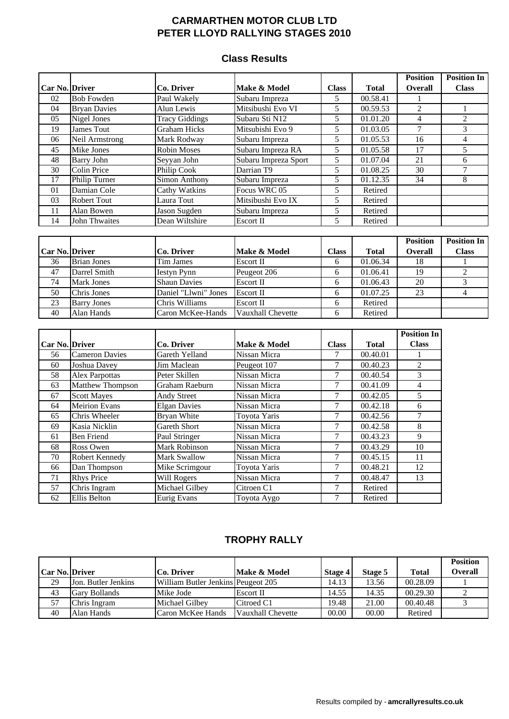#### **Class Results**

|                       |                      |                       |                      |              |              | <b>Position</b> | <b>Position In</b> |
|-----------------------|----------------------|-----------------------|----------------------|--------------|--------------|-----------------|--------------------|
| <b>Car No. Driver</b> |                      | Co. Driver            | Make & Model         | <b>Class</b> | <b>Total</b> | <b>Overall</b>  | <b>Class</b>       |
| 02                    | <b>Bob Fowden</b>    | Paul Wakely           | Subaru Impreza       | 5            | 00.58.41     |                 |                    |
| 04                    | <b>Bryan Davies</b>  | Alun Lewis            | Mitsibushi Evo VI    | 5            | 00.59.53     | 2               |                    |
| 05                    | Nigel Jones          | <b>Tracy Giddings</b> | Subaru Sti N12       | 5            | 01.01.20     | 4               | $\mathfrak{D}$     |
| 19                    | James Tout           | <b>Graham Hicks</b>   | Mitsubishi Evo 9     | 5            | 01.03.05     |                 | 3                  |
| 06                    | Neil Armstrong       | Mark Rodway           | Subaru Impreza       | 5            | 01.05.53     | 16              | 4                  |
| 45                    | Mike Jones           | <b>Robin Moses</b>    | Subaru Impreza RA    | 5            | 01.05.58     | 17              |                    |
| 48                    | <b>Barry John</b>    | Seyyan John           | Subaru Impreza Sport | 5            | 01.07.04     | 21              | 6                  |
| 30                    | Colin Price          | Philip Cook           | Darrian T9           | 5            | 01.08.25     | 30              |                    |
| 17                    | Philip Turner        | Simon Anthony         | Subaru Impreza       | 5            | 01.12.35     | 34              | 8                  |
| 01                    | Damian Cole          | Cathy Watkins         | Focus WRC 05         | 5            | Retired      |                 |                    |
| 03                    | <b>Robert Tout</b>   | Laura Tout            | Mitsibushi Evo IX    | 5            | Retired      |                 |                    |
| 11                    | Alan Bowen           | Jason Sugden          | Subaru Impreza       | 5            | Retired      |                 |                    |
| 14                    | <b>John Thwaites</b> | Dean Wiltshire        | Escort II            | 5            | Retired      |                 |                    |

|                       |                    |                      |                   |              |          | <b>Position</b> | <b>Position In</b> |
|-----------------------|--------------------|----------------------|-------------------|--------------|----------|-----------------|--------------------|
| <b>Car No. Driver</b> |                    | Co. Driver           | Make & Model      | <b>Class</b> | Total    | <b>Overall</b>  | <b>Class</b>       |
| 36                    | <b>Brian Jones</b> | Tim James            | Escort II         |              | 01.06.34 | 18              |                    |
| 47                    | Darrel Smith       | <b>Iestyn Pynn</b>   | Peugeot 206       |              | 01.06.41 | 19              |                    |
| 74                    | <b>Mark Jones</b>  | <b>Shaun Davies</b>  | <b>Escort II</b>  |              | 01.06.43 | 20              |                    |
| 50                    | Chris Jones        | Daniel "Llwni" Jones | <b>Escort II</b>  |              | 01.07.25 | 23              |                    |
| 23                    | <b>Barry Jones</b> | Chris Williams       | <b>Escort II</b>  |              | Retired  |                 |                    |
| 40                    | Alan Hands         | Caron McKee-Hands    | Vauxhall Chevette |              | Retired  |                 |                    |

|                       |                       |                     |              |              |              | <b>Position In</b> |
|-----------------------|-----------------------|---------------------|--------------|--------------|--------------|--------------------|
| <b>Car No. Driver</b> |                       | Co. Driver          | Make & Model | <b>Class</b> | <b>Total</b> | <b>Class</b>       |
| 56                    | <b>Cameron Davies</b> | Gareth Yelland      | Nissan Micra | 7            | 00.40.01     |                    |
| 60                    | Joshua Davey          | Jim Maclean         | Peugeot 107  | 7            | 00.40.23     | $\mathfrak{D}$     |
| 58                    | <b>Alex Parpottas</b> | Peter Skillen       | Nissan Micra | 7            | 00.40.54     | 3                  |
| 63                    | Matthew Thompson      | Graham Raeburn      | Nissan Micra | 7            | 00.41.09     | 4                  |
| 67                    | <b>Scott Mayes</b>    | Andy Street         | Nissan Micra | 7            | 00.42.05     | 5                  |
| 64                    | <b>Meirion Evans</b>  | <b>Elgan Davies</b> | Nissan Micra | 7            | 00.42.18     | 6                  |
| 65                    | Chris Wheeler         | Bryan White         | Toyota Yaris | 7            | 00.42.56     | 7                  |
| 69                    | Kasia Nicklin         | Gareth Short        | Nissan Micra | 7            | 00.42.58     | 8                  |
| 61                    | <b>Ben Friend</b>     | Paul Stringer       | Nissan Micra | 7            | 00.43.23     | 9                  |
| 68                    | Ross Owen             | Mark Robinson       | Nissan Micra | 7            | 00.43.29     | 10                 |
| 70                    | Robert Kennedy        | <b>Mark Swallow</b> | Nissan Micra | 7            | 00.45.15     | 11                 |
| 66                    | Dan Thompson          | Mike Scrimgour      | Toyota Yaris | 7            | 00.48.21     | 12                 |
| 71                    | <b>Rhys Price</b>     | Will Rogers         | Nissan Micra | 7            | 00.48.47     | 13                 |
| 57                    | Chris Ingram          | Michael Gilbey      | Citroen C1   | 7            | Retired      |                    |
| 62                    | <b>Ellis Belton</b>   | <b>Eurig Evans</b>  | Toyota Aygo  |              | Retired      |                    |

# **TROPHY RALLY**

|                       |                     |                                    |                   |         |         |              | <b>Position</b> |
|-----------------------|---------------------|------------------------------------|-------------------|---------|---------|--------------|-----------------|
| <b>Car No. Driver</b> |                     | Co. Driver                         | Make & Model      | Stage 4 | Stage 5 | <b>Total</b> | <b>Overall</b>  |
| 29                    | Jon. Butler Jenkins | William Butler Jenkins Peugeot 205 |                   | 14.13   | 13.56   | 00.28.09     |                 |
| 43                    | Gary Bollands       | Mike Jode                          | Escort II         | 14.55   | 14.35   | 00.29.30     |                 |
| 57                    | Chris Ingram        | Michael Gilbev                     | Citroed C1        | 19.48   | 21.00   | 00.40.48     |                 |
| 40                    | Alan Hands          | Caron McKee Hands                  | Vauxhall Chevette | 00.00   | 00.00   | Retired      |                 |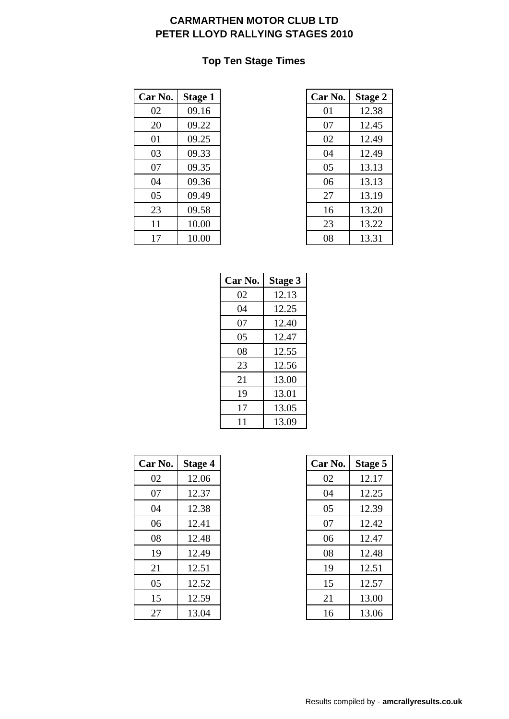### **Top Ten Stage Times**

| Car No. | <b>Stage 1</b> | Car No. | <b>Stage 2</b> |
|---------|----------------|---------|----------------|
| 02      | 09.16          | 01      | 12.38          |
| 20      | 09.22          | 07      | 12.45          |
| 01      | 09.25          | 02      | 12.49          |
| 03      | 09.33          | 04      | 12.49          |
| 07      | 09.35          | 05      | 13.13          |
| 04      | 09.36          | 06      | 13.13          |
| 05      | 09.49          | 27      | 13.19          |
| 23      | 09.58          | 16      | 13.20          |
| 11      | 10.00          | 23      | 13.22          |
| 17      | 10.00          | 08      | 13.31          |

| r No. | Stage 1 | Car No. | <b>Stage 2</b> |
|-------|---------|---------|----------------|
| 02    | 09.16   | 01      | 12.38          |
| 20    | 09.22   | 07      | 12.45          |
| 01    | 09.25   | 02      | 12.49          |
| 03    | 09.33   | 04      | 12.49          |
| 07    | 09.35   | 05      | 13.13          |
| 04    | 09.36   | 06      | 13.13          |
| 05    | 09.49   | 27      | 13.19          |
| 23    | 09.58   | 16      | 13.20          |
| 11    | 10.00   | 23      | 13.22          |
| 17    | 10.00   | 08      | 13.31          |

| Car No. | <b>Stage 3</b> |
|---------|----------------|
| 02      | 12.13          |
| 04      | 12.25          |
| 07      | 12.40          |
| 05      | 12.47          |
| 08      | 12.55          |
| 23      | 12.56          |
| 21      | 13.00          |
| 19      | 13.01          |
| 17      | 13.05          |
| 11      | 13.09          |

| Car No. | Stage 4 | Car No. | <b>Stage 5</b> |
|---------|---------|---------|----------------|
| 02      | 12.06   | 02      | 12.17          |
| 07      | 12.37   | 04      | 12.25          |
| 04      | 12.38   | 05      | 12.39          |
| 06      | 12.41   | 07      | 12.42          |
| 08      | 12.48   | 06      | 12.47          |
| 19      | 12.49   | 08      | 12.48          |
| 21      | 12.51   | 19      | 12.51          |
| 05      | 12.52   | 15      | 12.57          |
| 15      | 12.59   | 21      | 13.00          |
| 27      | 13.04   | 16      | 13.06          |

| r No. | <b>Stage 4</b> | Car No. | Stage 5 |
|-------|----------------|---------|---------|
| 02    | 12.06          | 02      | 12.17   |
| 07    | 12.37          | 04      | 12.25   |
| 04    | 12.38          | 05      | 12.39   |
| 06    | 12.41          | 07      | 12.42   |
| 08    | 12.48          | 06      | 12.47   |
| 19    | 12.49          | 08      | 12.48   |
| 21    | 12.51          | 19      | 12.51   |
| 05    | 12.52          | 15      | 12.57   |
| 15    | 12.59          | 21      | 13.00   |
| 27    | 13.04          | 16      | 13.06   |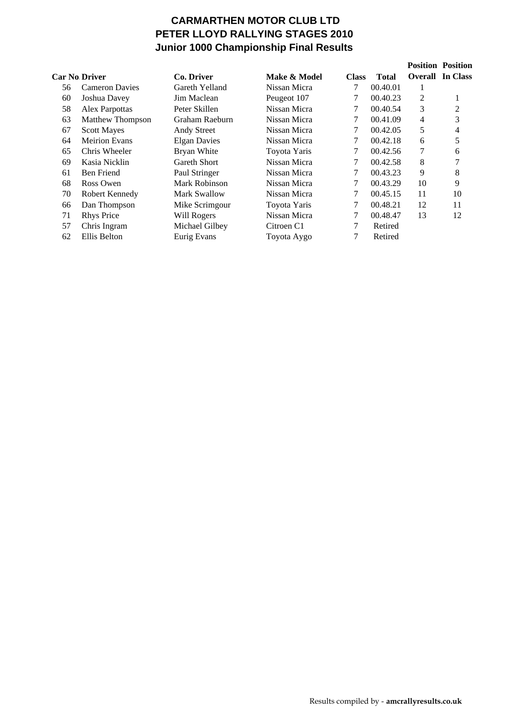# **CARMARTHEN MOTOR CLUB LTD PETER LLOYD RALLYING STAGES 2010 Junior 1000 Championship Final Results**

|                      |                         |                     |              |              |              |                | <b>Position Position</b> |
|----------------------|-------------------------|---------------------|--------------|--------------|--------------|----------------|--------------------------|
| <b>Car No Driver</b> |                         | Co. Driver          | Make & Model | <b>Class</b> | <b>Total</b> |                | <b>Overall In Class</b>  |
| 56                   | <b>Cameron Davies</b>   | Gareth Yelland      | Nissan Micra | 7            | 00.40.01     | 1              |                          |
| 60                   | Joshua Davey            | Jim Maclean         | Peugeot 107  | 7            | 00.40.23     | $\overline{2}$ | 1                        |
| 58                   | Alex Parpottas          | Peter Skillen       | Nissan Micra | 7            | 00.40.54     | 3              | 2                        |
| 63                   | <b>Matthew Thompson</b> | Graham Raeburn      | Nissan Micra | 7            | 00.41.09     | 4              | 3                        |
| 67                   | <b>Scott Mayes</b>      | Andy Street         | Nissan Micra | $\tau$       | 00.42.05     | 5              | 4                        |
| 64                   | <b>Meirion Evans</b>    | <b>Elgan Davies</b> | Nissan Micra | 7            | 00.42.18     | 6              | 5                        |
| 65                   | Chris Wheeler           | Bryan White         | Toyota Yaris | 7            | 00.42.56     | 7              | 6                        |
| 69                   | Kasia Nicklin           | Gareth Short        | Nissan Micra | 7            | 00.42.58     | 8              | 7                        |
| 61                   | <b>Ben Friend</b>       | Paul Stringer       | Nissan Micra | 7            | 00.43.23     | 9              | 8                        |
| 68                   | Ross Owen               | Mark Robinson       | Nissan Micra | 7            | 00.43.29     | 10             | 9                        |
| 70                   | Robert Kennedy          | Mark Swallow        | Nissan Micra | 7            | 00.45.15     | 11             | 10                       |
| 66                   | Dan Thompson            | Mike Scrimgour      | Toyota Yaris | 7            | 00.48.21     | 12             | 11                       |
| 71                   | <b>Rhys Price</b>       | Will Rogers         | Nissan Micra | 7            | 00.48.47     | 13             | 12                       |
| 57                   | Chris Ingram            | Michael Gilbey      | Citroen C1   | $\tau$       | Retired      |                |                          |
| 62                   | Ellis Belton            | Eurig Evans         | Toyota Aygo  | 7            | Retired      |                |                          |
|                      |                         |                     |              |              |              |                |                          |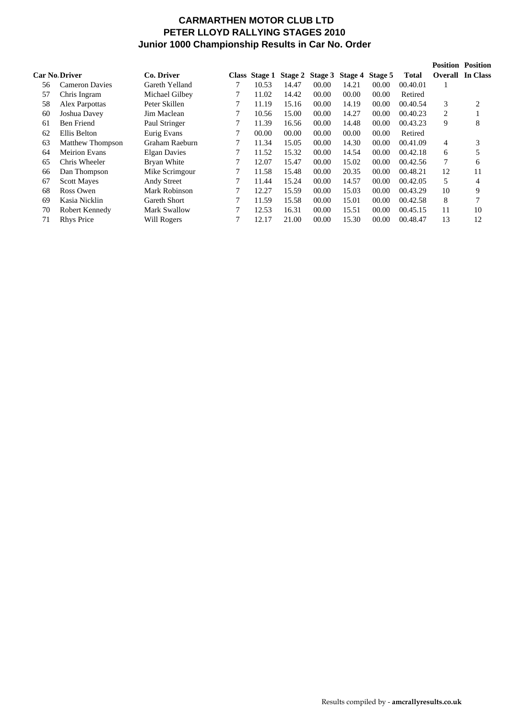#### **CARMARTHEN MOTOR CLUB LTD PETER LLOYD RALLYING STAGES 2010 Junior 1000 Championship Results in Car No. Order**

|    |                         |                     |   |       |       |       |                                       |         |              | <b>Position Position</b> |                         |
|----|-------------------------|---------------------|---|-------|-------|-------|---------------------------------------|---------|--------------|--------------------------|-------------------------|
|    | <b>Car No Driver</b>    | Co. Driver          |   |       |       |       | Class Stage 1 Stage 2 Stage 3 Stage 4 | Stage 5 | <b>Total</b> |                          | <b>Overall</b> In Class |
| 56 | <b>Cameron Davies</b>   | Gareth Yelland      |   | 10.53 | 14.47 | 00.00 | 14.21                                 | 00.00   | 00.40.01     |                          |                         |
| 57 | Chris Ingram            | Michael Gilbey      |   | 11.02 | 14.42 | 00.00 | 00.00                                 | 00.00   | Retired      |                          |                         |
| 58 | Alex Parpottas          | Peter Skillen       |   | 11.19 | 15.16 | 00.00 | 14.19                                 | 00.00   | 00.40.54     | 3                        | 2                       |
| 60 | Joshua Davey            | Jim Maclean         |   | 10.56 | 15.00 | 00.00 | 14.27                                 | 00.00   | 00.40.23     | 2                        |                         |
| 61 | <b>Ben Friend</b>       | Paul Stringer       | 7 | 11.39 | 16.56 | 00.00 | 14.48                                 | 00.00   | 00.43.23     | 9                        | 8                       |
| 62 | Ellis Belton            | Eurig Evans         | 7 | 00.00 | 00.00 | 00.00 | 00.00                                 | 00.00   | Retired      |                          |                         |
| 63 | <b>Matthew Thompson</b> | Graham Raeburn      |   | 11.34 | 15.05 | 00.00 | 14.30                                 | 00.00   | 00.41.09     | 4                        | 3                       |
| 64 | Meirion Evans           | <b>Elgan Davies</b> |   | 11.52 | 15.32 | 00.00 | 14.54                                 | 00.00   | 00.42.18     | 6                        | 5                       |
| 65 | Chris Wheeler           | Bryan White         |   | 12.07 | 15.47 | 00.00 | 15.02                                 | 00.00   | 00.42.56     |                          | 6                       |
| 66 | Dan Thompson            | Mike Scrimgour      | 7 | 11.58 | 15.48 | 00.00 | 20.35                                 | 00.00   | 00.48.21     | 12                       | 11                      |
| 67 | <b>Scott Mayes</b>      | Andy Street         | 7 | 11.44 | 15.24 | 00.00 | 14.57                                 | 00.00   | 00.42.05     | 5                        | 4                       |
| 68 | Ross Owen               | Mark Robinson       |   | 12.27 | 15.59 | 00.00 | 15.03                                 | 00.00   | 00.43.29     | 10                       | 9                       |
| 69 | Kasia Nicklin           | Gareth Short        |   | 11.59 | 15.58 | 00.00 | 15.01                                 | 00.00   | 00.42.58     | 8                        | 7                       |
| 70 | Robert Kennedy          | <b>Mark Swallow</b> | 7 | 12.53 | 16.31 | 00.00 | 15.51                                 | 00.00   | 00.45.15     | 11                       | 10                      |
| 71 | <b>Rhys Price</b>       | Will Rogers         |   | 12.17 | 21.00 | 00.00 | 15.30                                 | 00.00   | 00.48.47     | 13                       | 12                      |